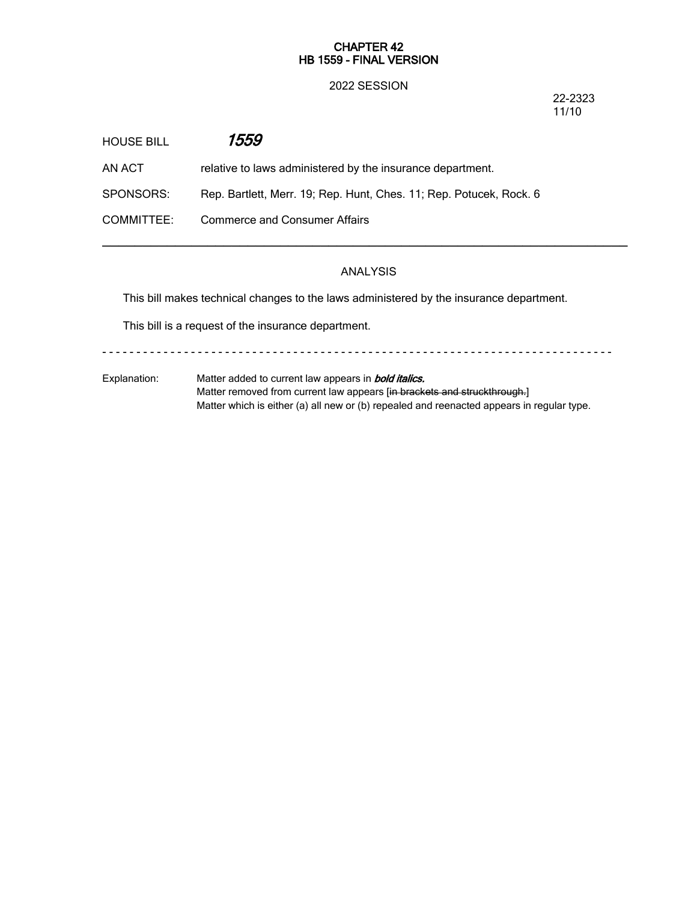## **CHAPTER 42 HB 1559 - FINAL VERSION**

## 2022 SESSION

22-2323 11/10

| HOUSE BILL | 1559                                                                |
|------------|---------------------------------------------------------------------|
| AN ACT.    | relative to laws administered by the insurance department.          |
| SPONSORS:  | Rep. Bartlett, Merr. 19; Rep. Hunt, Ches. 11; Rep. Potucek, Rock. 6 |
| COMMITTEE: | <b>Commerce and Consumer Affairs</b>                                |

# ANALYSIS

─────────────────────────────────────────────────────────────────

This bill makes technical changes to the laws administered by the insurance department.

This bill is a request of the insurance department.

- - - - - - - - - - - - - - - - - - - - - - - - - - - - - - - - - - - - - - - - - - - - - - - - - - - - - - - - - - - - - - - - - - - - - - - - - - -

Explanation: Matter added to current law appears in *bold italics.* Matter removed from current law appears [in brackets and struckthrough.] Matter which is either (a) all new or (b) repealed and reenacted appears in regular type.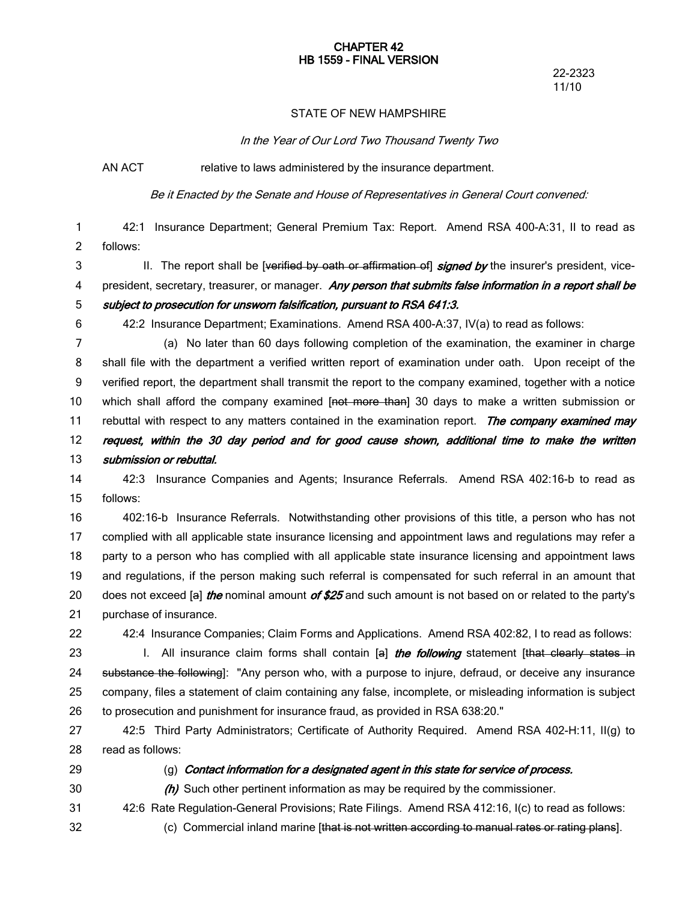#### **CHAPTER 42 HB 1559 - FINAL VERSION**

22-2323 11/10

## STATE OF NEW HAMPSHIRE

*In the Year of Our Lord Two Thousand Twenty Two*

AN ACT relative to laws administered by the insurance department.

*Be it Enacted by the Senate and House of Representatives in General Court convened:*

42:1 Insurance Department; General Premium Tax: Report. Amend RSA 400-A:31, II to read as follows: 1 2

II. The report shall be [verified by oath or affirmation of] *signed by* the insurer's president, vice-3

president, secretary, treasurer, or manager. *Any person that submits false information in <sup>a</sup> report shall be subject to prosecution for unsworn falsification, pursuant to RSA 641:3.* 4 5

6

42:2 Insurance Department; Examinations. Amend RSA 400-A:37, IV(a) to read as follows:

(a) No later than 60 days following completion of the examination, the examiner in charge shall file with the department a verified written report of examination under oath. Upon receipt of the verified report, the department shall transmit the report to the company examined, together with a notice which shall afford the company examined [not more than] 30 days to make a written submission or rebuttal with respect to any matters contained in the examination report. *The company examined may request, within the 30 day period and for good cause shown, additional time to make the written submission or rebuttal.* 7 8 9 10 11 12 13

42:3 Insurance Companies and Agents; Insurance Referrals. Amend RSA 402:16-b to read as follows: 14 15

402:16-b Insurance Referrals. Notwithstanding other provisions of this title, a person who has not complied with all applicable state insurance licensing and appointment laws and regulations may refer a party to a person who has complied with all applicable state insurance licensing and appointment laws and regulations, if the person making such referral is compensated for such referral in an amount that does not exceed [a] *the* nominal amount *of \$25* and such amount is not based on or related to the party's purchase of insurance. 16 17 18 19 20 21

22

42:4 Insurance Companies; Claim Forms and Applications. Amend RSA 402:82, I to read as follows:

I. All insurance claim forms shall contain [a] *the following* statement [that clearly states in substance the following]: "Any person who, with a purpose to injure, defraud, or deceive any insurance company, files a statement of claim containing any false, incomplete, or misleading information is subject to prosecution and punishment for insurance fraud, as provided in RSA 638:20." 23 24 25 26

42:5 Third Party Administrators; Certificate of Authority Required. Amend RSA 402-H:11, II(g) to read as follows: 27 28

29

# (g) *Contact information for <sup>a</sup> designated agent in this state for service of process.*

30

32

*(h)* Such other pertinent information as may be required by the commissioner.

42:6 Rate Regulation-General Provisions; Rate Filings. Amend RSA 412:16, I(c) to read as follows: 31

(c) Commercial inland marine [that is not written according to manual rates or rating plans].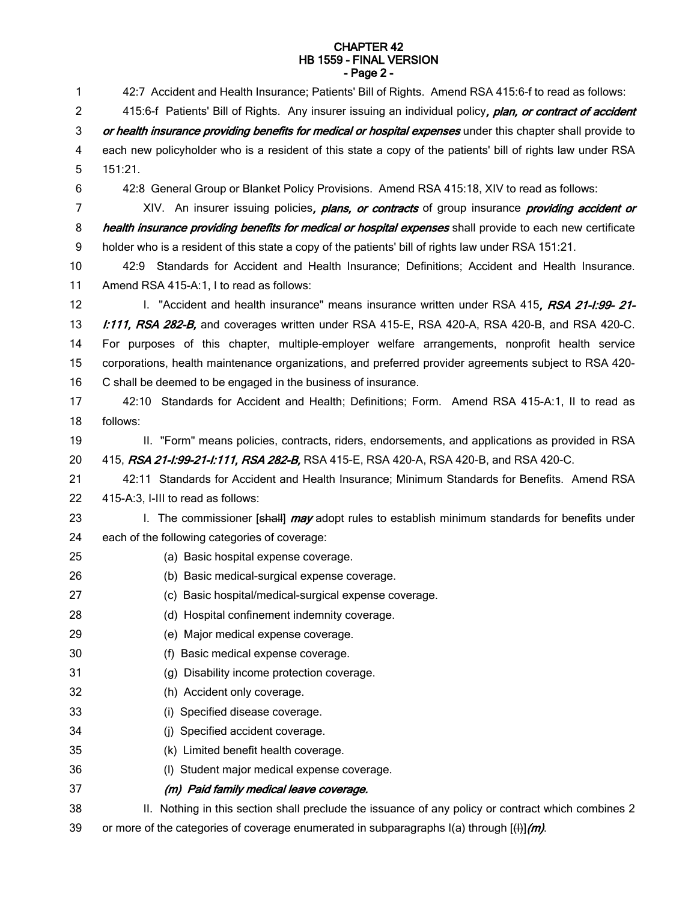#### **CHAPTER 42 HB 1559 - FINAL VERSION - Page 2 -**

| 1  | 42:7 Accident and Health Insurance; Patients' Bill of Rights. Amend RSA 415:6-f to read as follows:          |
|----|--------------------------------------------------------------------------------------------------------------|
| 2  | 415:6-f Patients' Bill of Rights. Any insurer issuing an individual policy, plan, or contract of accident    |
| 3  | or health insurance providing benefits for medical or hospital expenses under this chapter shall provide to  |
| 4  | each new policyholder who is a resident of this state a copy of the patients' bill of rights law under RSA   |
| 5  | 151:21.                                                                                                      |
| 6  | 42:8 General Group or Blanket Policy Provisions. Amend RSA 415:18, XIV to read as follows:                   |
| 7  | XIV. An insurer issuing policies, <i>plans, or contracts</i> of group insurance <i>providing accident or</i> |
| 8  | health insurance providing benefits for medical or hospital expenses shall provide to each new certificate   |
| 9  | holder who is a resident of this state a copy of the patients' bill of rights law under RSA 151:21.          |
| 10 | 42:9 Standards for Accident and Health Insurance; Definitions; Accident and Health Insurance.                |
| 11 | Amend RSA 415-A:1, I to read as follows:                                                                     |
| 12 | I. "Accident and health insurance" means insurance written under RSA 415, RSA 21-1:99-21-                    |
| 13 | l:111, RSA 282-B, and coverages written under RSA 415-E, RSA 420-A, RSA 420-B, and RSA 420-C.                |
| 14 | For purposes of this chapter, multiple-employer welfare arrangements, nonprofit health service               |
| 15 | corporations, health maintenance organizations, and preferred provider agreements subject to RSA 420-        |
| 16 | C shall be deemed to be engaged in the business of insurance.                                                |
| 17 | 42:10 Standards for Accident and Health; Definitions; Form. Amend RSA 415-A:1, II to read as                 |
| 18 | follows:                                                                                                     |
| 19 | II. "Form" means policies, contracts, riders, endorsements, and applications as provided in RSA              |
| 20 | 415, RSA 21-1:99-21-1:111, RSA 282-B, RSA 415-E, RSA 420-A, RSA 420-B, and RSA 420-C.                        |
| 21 | 42:11 Standards for Accident and Health Insurance; Minimum Standards for Benefits. Amend RSA                 |
| 22 | 415-A:3, I-III to read as follows:                                                                           |
| 23 | I. The commissioner [shall] <i>may</i> adopt rules to establish minimum standards for benefits under         |
| 24 | each of the following categories of coverage:                                                                |
| 25 | (a) Basic hospital expense coverage.                                                                         |
| 26 | (b) Basic medical-surgical expense coverage.                                                                 |
| 27 | (c) Basic hospital/medical-surgical expense coverage.                                                        |
| 28 | (d) Hospital confinement indemnity coverage.                                                                 |
| 29 | (e) Major medical expense coverage.                                                                          |
| 30 | Basic medical expense coverage.<br>(f)                                                                       |
| 31 | Disability income protection coverage.<br>(g)                                                                |
| 32 | (h) Accident only coverage.                                                                                  |
| 33 | Specified disease coverage.<br>(i)                                                                           |
| 34 | Specified accident coverage.<br>(i)                                                                          |
| 35 | (k) Limited benefit health coverage.                                                                         |
| 36 | Student major medical expense coverage.<br>(1)                                                               |
| 37 | (m) Paid family medical leave coverage.                                                                      |
| 38 | II. Nothing in this section shall preclude the issuance of any policy or contract which combines 2           |
| 39 | or more of the categories of coverage enumerated in subparagraphs $I(a)$ through $[I4]/(m)$ .                |